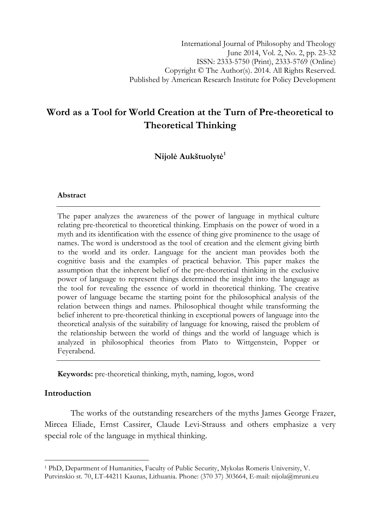# Word as a Tool for World Creation at the Turn of Pre-theoretical to Theoretical Thinking

Nijolė Aukštuolytė<sup>1</sup>

### Abstract

The paper analyzes the awareness of the power of language in mythical culture relating pre-theoretical to theoretical thinking. Emphasis on the power of word in a myth and its identification with the essence of thing give prominence to the usage of names. The word is understood as the tool of creation and the element giving birth to the world and its order. Language for the ancient man provides both the cognitive basis and the examples of practical behavior. This paper makes the assumption that the inherent belief of the pre-theoretical thinking in the exclusive power of language to represent things determined the insight into the language as the tool for revealing the essence of world in theoretical thinking. The creative power of language became the starting point for the philosophical analysis of the relation between things and names. Philosophical thought while transforming the belief inherent to pre-theoretical thinking in exceptional powers of language into the theoretical analysis of the suitability of language for knowing, raised the problem of the relationship between the world of things and the world of language which is analyzed in philosophical theories from Plato to Wittgenstein, Popper or Feyerabend.

Keywords: pre-theoretical thinking, myth, naming, logos, word

# Introduction

l

The works of the outstanding researchers of the myths James George Frazer, Mircea Eliade, Ernst Cassirer, Claude Levi-Strauss and others emphasize a very special role of the language in mythical thinking.

<sup>1</sup> PhD, Department of Humanities, Faculty of Public Security, Mykolas Romeris University, V. Putvinskio st. 70, LT-44211 Kaunas, Lithuania. Phone: (370 37) 303664, E-mail: nijola@mruni.eu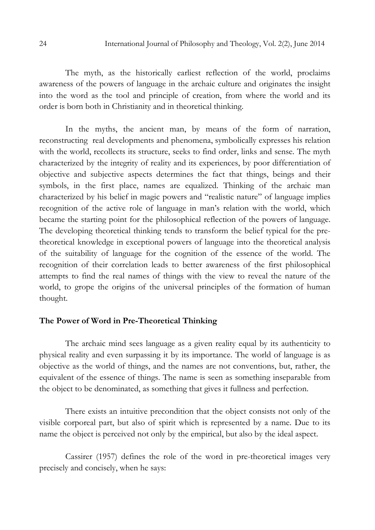The myth, as the historically earliest reflection of the world, proclaims awareness of the powers of language in the archaic culture and originates the insight into the word as the tool and principle of creation, from where the world and its order is born both in Christianity and in theoretical thinking.

In the myths, the ancient man, by means of the form of narration, reconstructing real developments and phenomena, symbolically expresses his relation with the world, recollects its structure, seeks to find order, links and sense. The myth characterized by the integrity of reality and its experiences, by poor differentiation of objective and subjective aspects determines the fact that things, beings and their symbols, in the first place, names are equalized. Thinking of the archaic man characterized by his belief in magic powers and "realistic nature" of language implies recognition of the active role of language in man's relation with the world, which became the starting point for the philosophical reflection of the powers of language. The developing theoretical thinking tends to transform the belief typical for the pretheoretical knowledge in exceptional powers of language into the theoretical analysis of the suitability of language for the cognition of the essence of the world. The recognition of their correlation leads to better awareness of the first philosophical attempts to find the real names of things with the view to reveal the nature of the world, to grope the origins of the universal principles of the formation of human thought.

#### The Power of Word in Pre-Theoretical Thinking

The archaic mind sees language as a given reality equal by its authenticity to physical reality and even surpassing it by its importance. The world of language is as objective as the world of things, and the names are not conventions, but, rather, the equivalent of the essence of things. The name is seen as something inseparable from the object to be denominated, as something that gives it fullness and perfection.

There exists an intuitive precondition that the object consists not only of the visible corporeal part, but also of spirit which is represented by a name. Due to its name the object is perceived not only by the empirical, but also by the ideal aspect.

Cassirer (1957) defines the role of the word in pre-theoretical images very precisely and concisely, when he says: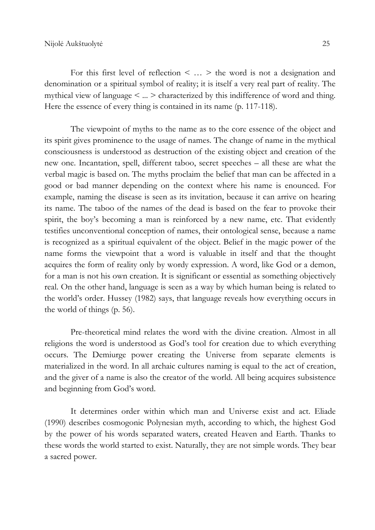For this first level of reflection  $\leq \ldots \geq$  the word is not a designation and denomination or a spiritual symbol of reality; it is itself a very real part of reality. The mythical view of language < ... > characterized by this indifference of word and thing. Here the essence of every thing is contained in its name (p. 117-118).

The viewpoint of myths to the name as to the core essence of the object and its spirit gives prominence to the usage of names. The change of name in the mythical consciousness is understood as destruction of the existing object and creation of the new one. Incantation, spell, different taboo, secret speeches – all these are what the verbal magic is based on. The myths proclaim the belief that man can be affected in a good or bad manner depending on the context where his name is enounced. For example, naming the disease is seen as its invitation, because it can arrive on hearing its name. The taboo of the names of the dead is based on the fear to provoke their spirit, the boy's becoming a man is reinforced by a new name, etc. That evidently testifies unconventional conception of names, their ontological sense, because a name is recognized as a spiritual equivalent of the object. Belief in the magic power of the name forms the viewpoint that a word is valuable in itself and that the thought acquires the form of reality only by wordy expression. A word, like God or a demon, for a man is not his own creation. It is significant or essential as something objectively real. On the other hand, language is seen as a way by which human being is related to the world's order. Hussey (1982) says, that language reveals how everything occurs in the world of things (p. 56).

Pre-theoretical mind relates the word with the divine creation. Almost in all religions the word is understood as God's tool for creation due to which everything occurs. The Demiurge power creating the Universe from separate elements is materialized in the word. In all archaic cultures naming is equal to the act of creation, and the giver of a name is also the creator of the world. All being acquires subsistence and beginning from God's word.

It determines order within which man and Universe exist and act. Eliade (1990) describes cosmogonic Polynesian myth, according to which, the highest God by the power of his words separated waters, created Heaven and Earth. Thanks to these words the world started to exist. Naturally, they are not simple words. They bear a sacred power.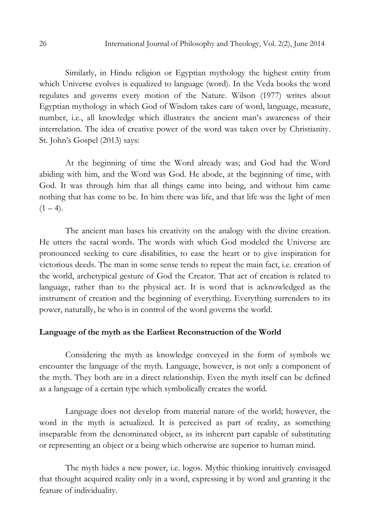Similarly, in Hindu religion or Egyptian mythology the highest entity from which Universe evolves is equalized to language (word). In the Veda books the word regulates and governs every motion of the Nature. Wilson (1977) writes about Egyptian mythology in which God of Wisdom takes care of word, language, measure, number, i.e., all knowledge which illustrates the ancient man's awareness of their interrelation. The idea of creative power of the word was taken over by Christianity. St. John's Gospel (2013) says:

At the beginning of time the Word already was; and God had the Word abiding with him, and the Word was God. He abode, at the beginning of time, with God. It was through him that all things came into being, and without him came nothing that has come to be. In him there was life, and that life was the light of men  $(1 - 4)$ .

The ancient man bases his creativity on the analogy with the divine creation. He utters the sacral words. The words with which God modeled the Universe are pronounced seeking to cure disabilities, to ease the heart or to give inspiration for victorious deeds. The man in some sense tends to repeat the main fact, i.e. creation of the world, archetypical gesture of God the Creator. That act of creation is related to language, rather than to the physical act. It is word that is acknowledged as the instrument of creation and the beginning of everything. Everything surrenders to its power, naturally, he who is in control of the word governs the world.

#### Language of the myth as the Earliest Reconstruction of the World

Considering the myth as knowledge conveyed in the form of symbols we encounter the language of the myth. Language, however, is not only a component of the myth. They both are in a direct relationship. Even the myth itself can be defined as a language of a certain type which symbolically creates the world.

Language does not develop from material nature of the world; however, the word in the myth is actualized. It is perceived as part of reality, as something inseparable from the denominated object, as its inherent part capable of substituting or representing an object or a being which otherwise are superior to human mind.

The myth hides a new power, i.e. logos. Mythic thinking intuitively envisaged that thought acquired reality only in a word, expressing it by word and granting it the feature of individuality.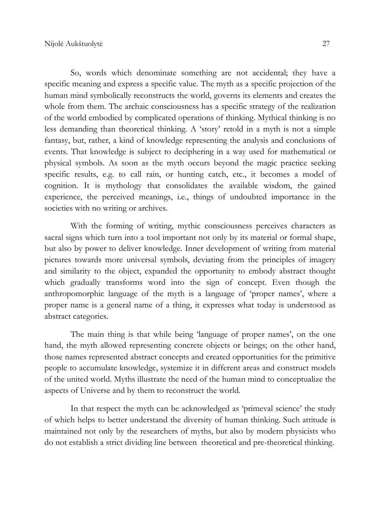So, words which denominate something are not accidental; they have a specific meaning and express a specific value. The myth as a specific projection of the human mind symbolically reconstructs the world, governs its elements and creates the whole from them. The archaic consciousness has a specific strategy of the realization of the world embodied by complicated operations of thinking. Mythical thinking is no less demanding than theoretical thinking. A 'story' retold in a myth is not a simple fantasy, but, rather, a kind of knowledge representing the analysis and conclusions of events. That knowledge is subject to deciphering in a way used for mathematical or physical symbols. As soon as the myth occurs beyond the magic practice seeking specific results, e.g. to call rain, or hunting catch, etc., it becomes a model of cognition. It is mythology that consolidates the available wisdom, the gained experience, the perceived meanings, i.e., things of undoubted importance in the societies with no writing or archives.

With the forming of writing, mythic consciousness perceives characters as sacral signs which turn into a tool important not only by its material or formal shape, but also by power to deliver knowledge. Inner development of writing from material pictures towards more universal symbols, deviating from the principles of imagery and similarity to the object, expanded the opportunity to embody abstract thought which gradually transforms word into the sign of concept. Even though the anthropomorphic language of the myth is a language of 'proper names', where a proper name is a general name of a thing, it expresses what today is understood as abstract categories.

The main thing is that while being 'language of proper names', on the one hand, the myth allowed representing concrete objects or beings; on the other hand, those names represented abstract concepts and created opportunities for the primitive people to accumulate knowledge, systemize it in different areas and construct models of the united world. Myths illustrate the need of the human mind to conceptualize the aspects of Universe and by them to reconstruct the world.

In that respect the myth can be acknowledged as 'primeval science' the study of which helps to better understand the diversity of human thinking. Such attitude is maintained not only by the researchers of myths, but also by modern physicists who do not establish a strict dividing line between theoretical and pre-theoretical thinking.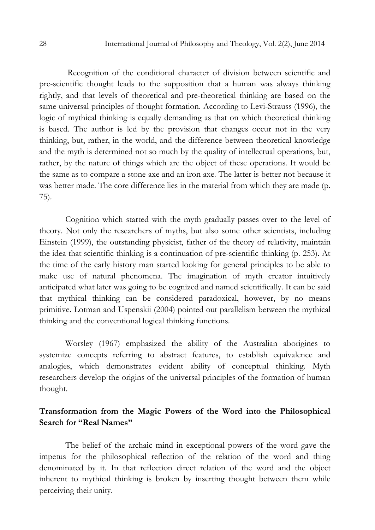Recognition of the conditional character of division between scientific and pre-scientific thought leads to the supposition that a human was always thinking rightly, and that levels of theoretical and pre-theoretical thinking are based on the same universal principles of thought formation. According to Levi-Strauss (1996), the logic of mythical thinking is equally demanding as that on which theoretical thinking is based. The author is led by the provision that changes occur not in the very thinking, but, rather, in the world, and the difference between theoretical knowledge and the myth is determined not so much by the quality of intellectual operations, but, rather, by the nature of things which are the object of these operations. It would be the same as to compare a stone axe and an iron axe. The latter is better not because it was better made. The core difference lies in the material from which they are made (p. 75).

Cognition which started with the myth gradually passes over to the level of theory. Not only the researchers of myths, but also some other scientists, including Einstein (1999), the outstanding physicist, father of the theory of relativity, maintain the idea that scientific thinking is a continuation of pre-scientific thinking (p. 253). At the time of the early history man started looking for general principles to be able to make use of natural phenomena. The imagination of myth creator intuitively anticipated what later was going to be cognized and named scientifically. It can be said that mythical thinking can be considered paradoxical, however, by no means primitive. Lotman and Uspenskii (2004) pointed out parallelism between the mythical thinking and the conventional logical thinking functions.

Worsley (1967) emphasized the ability of the Australian aborigines to systemize concepts referring to abstract features, to establish equivalence and analogies, which demonstrates evident ability of conceptual thinking. Myth researchers develop the origins of the universal principles of the formation of human thought.

# Transformation from the Magic Powers of the Word into the Philosophical Search for "Real Names"

The belief of the archaic mind in exceptional powers of the word gave the impetus for the philosophical reflection of the relation of the word and thing denominated by it. In that reflection direct relation of the word and the object inherent to mythical thinking is broken by inserting thought between them while perceiving their unity.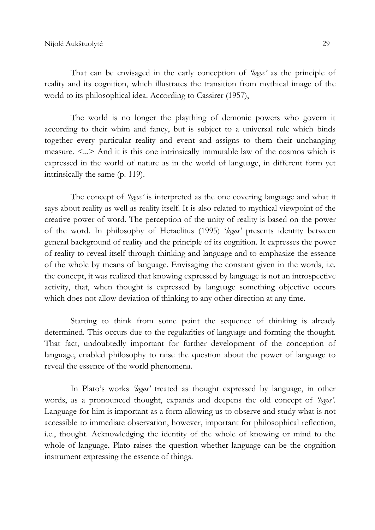That can be envisaged in the early conception of 'logos' as the principle of reality and its cognition, which illustrates the transition from mythical image of the world to its philosophical idea. According to Cassirer (1957),

The world is no longer the plaything of demonic powers who govern it according to their whim and fancy, but is subject to a universal rule which binds together every particular reality and event and assigns to them their unchanging measure. <...> And it is this one intrinsically immutable law of the cosmos which is expressed in the world of nature as in the world of language, in different form yet intrinsically the same (p. 119).

The concept of 'logos' is interpreted as the one covering language and what it says about reality as well as reality itself. It is also related to mythical viewpoint of the creative power of word. The perception of the unity of reality is based on the power of the word. In philosophy of Heraclitus (1995) 'logos' presents identity between general background of reality and the principle of its cognition. It expresses the power of reality to reveal itself through thinking and language and to emphasize the essence of the whole by means of language. Envisaging the constant given in the words, i.e. the concept, it was realized that knowing expressed by language is not an introspective activity, that, when thought is expressed by language something objective occurs which does not allow deviation of thinking to any other direction at any time.

Starting to think from some point the sequence of thinking is already determined. This occurs due to the regularities of language and forming the thought. That fact, undoubtedly important for further development of the conception of language, enabled philosophy to raise the question about the power of language to reveal the essence of the world phenomena.

In Plato's works 'logos' treated as thought expressed by language, in other words, as a pronounced thought, expands and deepens the old concept of 'logos'. Language for him is important as a form allowing us to observe and study what is not accessible to immediate observation, however, important for philosophical reflection, i.e., thought. Acknowledging the identity of the whole of knowing or mind to the whole of language, Plato raises the question whether language can be the cognition instrument expressing the essence of things.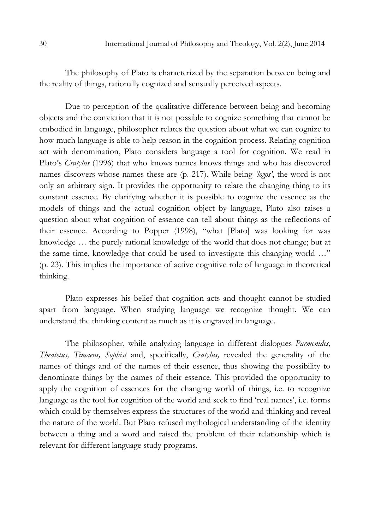The philosophy of Plato is characterized by the separation between being and the reality of things, rationally cognized and sensually perceived aspects.

Due to perception of the qualitative difference between being and becoming objects and the conviction that it is not possible to cognize something that cannot be embodied in language, philosopher relates the question about what we can cognize to how much language is able to help reason in the cognition process. Relating cognition act with denomination, Plato considers language a tool for cognition. We read in Plato's Cratylus (1996) that who knows names knows things and who has discovered names discovers whose names these are (p. 217). While being 'logos', the word is not only an arbitrary sign. It provides the opportunity to relate the changing thing to its constant essence. By clarifying whether it is possible to cognize the essence as the models of things and the actual cognition object by language, Plato also raises a question about what cognition of essence can tell about things as the reflections of their essence. According to Popper (1998), "what [Plato] was looking for was knowledge … the purely rational knowledge of the world that does not change; but at the same time, knowledge that could be used to investigate this changing world …" (p. 23). This implies the importance of active cognitive role of language in theoretical thinking.

Plato expresses his belief that cognition acts and thought cannot be studied apart from language. When studying language we recognize thought. We can understand the thinking content as much as it is engraved in language.

The philosopher, while analyzing language in different dialogues *Parmenides*, Theatetus, Timaeus, Sophist and, specifically, Cratylus, revealed the generality of the names of things and of the names of their essence, thus showing the possibility to denominate things by the names of their essence. This provided the opportunity to apply the cognition of essences for the changing world of things, i.e. to recognize language as the tool for cognition of the world and seek to find 'real names', i.e. forms which could by themselves express the structures of the world and thinking and reveal the nature of the world. But Plato refused mythological understanding of the identity between a thing and a word and raised the problem of their relationship which is relevant for different language study programs.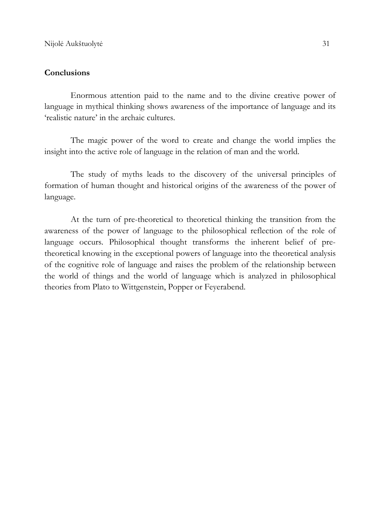## **Conclusions**

Enormous attention paid to the name and to the divine creative power of language in mythical thinking shows awareness of the importance of language and its 'realistic nature' in the archaic cultures.

The magic power of the word to create and change the world implies the insight into the active role of language in the relation of man and the world.

The study of myths leads to the discovery of the universal principles of formation of human thought and historical origins of the awareness of the power of language.

At the turn of pre-theoretical to theoretical thinking the transition from the awareness of the power of language to the philosophical reflection of the role of language occurs. Philosophical thought transforms the inherent belief of pretheoretical knowing in the exceptional powers of language into the theoretical analysis of the cognitive role of language and raises the problem of the relationship between the world of things and the world of language which is analyzed in philosophical theories from Plato to Wittgenstein, Popper or Feyerabend.